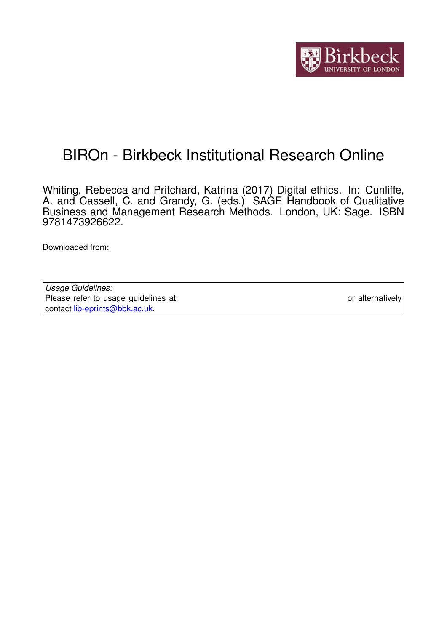

# BIROn - Birkbeck Institutional Research Online

Whiting, Rebecca and Pritchard, Katrina (2017) Digital ethics. In: Cunliffe, A. and Cassell, C. and Grandy, G. (eds.) SAGE Handbook of Qualitative Business and Management Research Methods. London, UK: Sage. ISBN 9781473926622.

Downloaded from: <https://eprints.bbk.ac.uk/id/eprint/15623/>

*Usage Guidelines:* Please refer to usage guidelines at <https://eprints.bbk.ac.uk/policies.html> or alternatively contact [lib-eprints@bbk.ac.uk.](mailto:lib-eprints@bbk.ac.uk)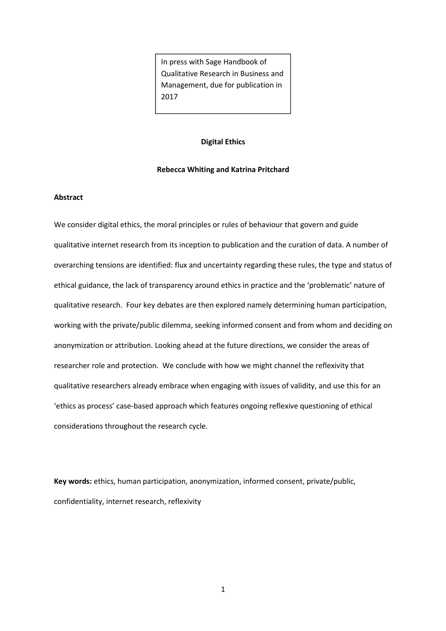In press with Sage Handbook of Qualitative Research in Business and Management, due for publication in 2017

#### Digital Ethics

#### Rebecca Whiting and Katrina Pritchard

## Abstract

We consider digital ethics, the moral principles or rules of behaviour that govern and guide qualitative internet research from its inception to publication and the curation of data. A number of overarching tensions are identified: flux and uncertainty regarding these rules, the type and status of ethical guidance, the lack of transparency around ethics in practice and the 'problematic' nature of qualitative research. Four key debates are then explored namely determining human participation, working with the private/public dilemma, seeking informed consent and from whom and deciding on anonymization or attribution. Looking ahead at the future directions, we consider the areas of researcher role and protection. We conclude with how we might channel the reflexivity that qualitative researchers already embrace when engaging with issues of validity, and use this for an 'ethics as process' case-based approach which features ongoing reflexive questioning of ethical considerations throughout the research cycle.

Key words: ethics, human participation, anonymization, informed consent, private/public, confidentiality, internet research, reflexivity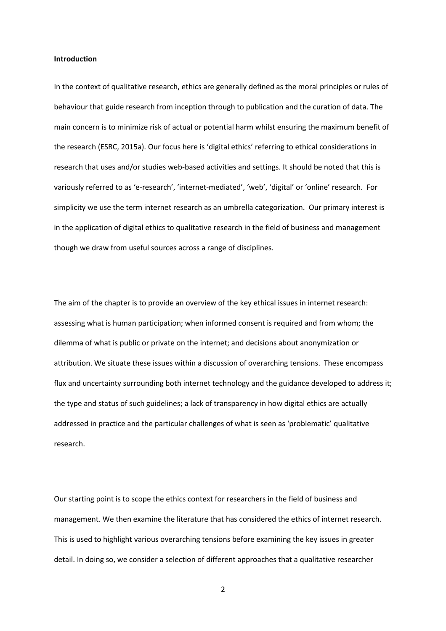#### Introduction

In the context of qualitative research, ethics are generally defined as the moral principles or rules of behaviour that guide research from inception through to publication and the curation of data. The main concern is to minimize risk of actual or potential harm whilst ensuring the maximum benefit of the research (ESRC, 2015a). Our focus here is 'digital ethics' referring to ethical considerations in research that uses and/or studies web-based activities and settings. It should be noted that this is variously referred to as 'e-research', 'internet-mediated', 'web', 'digital' or 'online' research. For simplicity we use the term internet research as an umbrella categorization. Our primary interest is in the application of digital ethics to qualitative research in the field of business and management though we draw from useful sources across a range of disciplines.

The aim of the chapter is to provide an overview of the key ethical issues in internet research: assessing what is human participation; when informed consent is required and from whom; the dilemma of what is public or private on the internet; and decisions about anonymization or attribution. We situate these issues within a discussion of overarching tensions. These encompass flux and uncertainty surrounding both internet technology and the guidance developed to address it; the type and status of such guidelines; a lack of transparency in how digital ethics are actually addressed in practice and the particular challenges of what is seen as 'problematic' qualitative research.

Our starting point is to scope the ethics context for researchers in the field of business and management. We then examine the literature that has considered the ethics of internet research. This is used to highlight various overarching tensions before examining the key issues in greater detail. In doing so, we consider a selection of different approaches that a qualitative researcher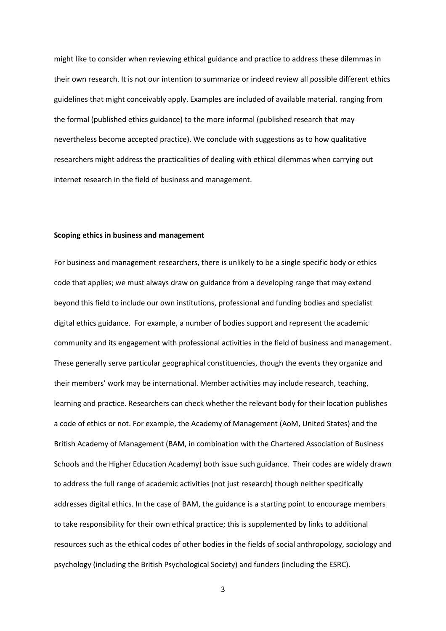might like to consider when reviewing ethical guidance and practice to address these dilemmas in their own research. It is not our intention to summarize or indeed review all possible different ethics guidelines that might conceivably apply. Examples are included of available material, ranging from the formal (published ethics guidance) to the more informal (published research that may nevertheless become accepted practice). We conclude with suggestions as to how qualitative researchers might address the practicalities of dealing with ethical dilemmas when carrying out internet research in the field of business and management.

#### Scoping ethics in business and management

For business and management researchers, there is unlikely to be a single specific body or ethics code that applies; we must always draw on guidance from a developing range that may extend beyond this field to include our own institutions, professional and funding bodies and specialist digital ethics guidance. For example, a number of bodies support and represent the academic community and its engagement with professional activities in the field of business and management. These generally serve particular geographical constituencies, though the events they organize and their members' work may be international. Member activities may include research, teaching, learning and practice. Researchers can check whether the relevant body for their location publishes a code of ethics or not. For example, the Academy of Management (AoM, United States) and the British Academy of Management (BAM, in combination with the Chartered Association of Business Schools and the Higher Education Academy) both issue such guidance. Their codes are widely drawn to address the full range of academic activities (not just research) though neither specifically addresses digital ethics. In the case of BAM, the guidance is a starting point to encourage members to take responsibility for their own ethical practice; this is supplemented by links to additional resources such as the ethical codes of other bodies in the fields of social anthropology, sociology and psychology (including the British Psychological Society) and funders (including the ESRC).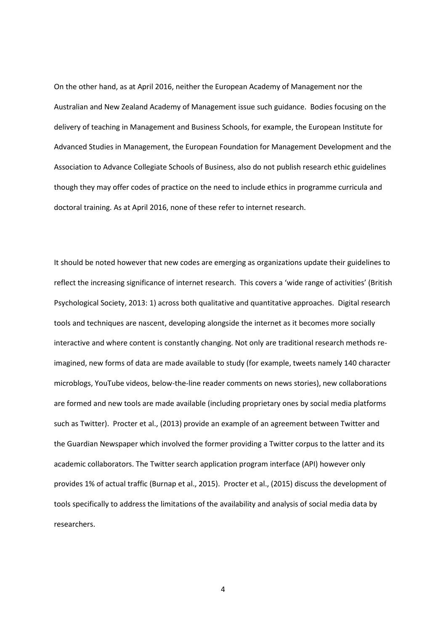On the other hand, as at April 2016, neither the European Academy of Management nor the Australian and New Zealand Academy of Management issue such guidance. Bodies focusing on the delivery of teaching in Management and Business Schools, for example, the European Institute for Advanced Studies in Management, the European Foundation for Management Development and the Association to Advance Collegiate Schools of Business, also do not publish research ethic guidelines though they may offer codes of practice on the need to include ethics in programme curricula and doctoral training. As at April 2016, none of these refer to internet research.

It should be noted however that new codes are emerging as organizations update their guidelines to reflect the increasing significance of internet research. This covers a 'wide range of activities' (British Psychological Society, 2013: 1) across both qualitative and quantitative approaches. Digital research tools and techniques are nascent, developing alongside the internet as it becomes more socially interactive and where content is constantly changing. Not only are traditional research methods reimagined, new forms of data are made available to study (for example, tweets namely 140 character microblogs, YouTube videos, below-the-line reader comments on news stories), new collaborations are formed and new tools are made available (including proprietary ones by social media platforms such as Twitter). Procter et al., (2013) provide an example of an agreement between Twitter and the Guardian Newspaper which involved the former providing a Twitter corpus to the latter and its academic collaborators. The Twitter search application program interface (API) however only provides 1% of actual traffic (Burnap et al., 2015). Procter et al., (2015) discuss the development of tools specifically to address the limitations of the availability and analysis of social media data by researchers.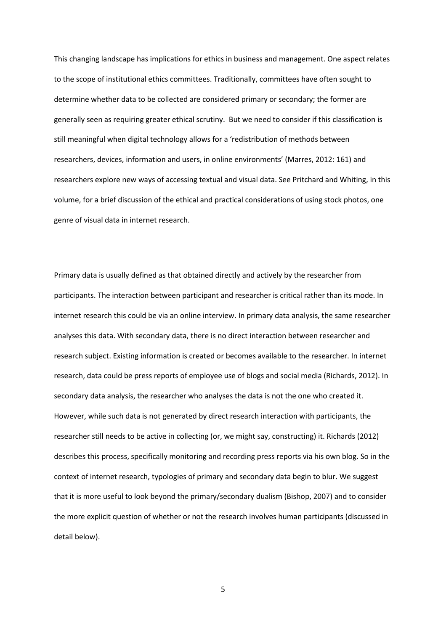This changing landscape has implications for ethics in business and management. One aspect relates to the scope of institutional ethics committees. Traditionally, committees have often sought to determine whether data to be collected are considered primary or secondary; the former are generally seen as requiring greater ethical scrutiny. But we need to consider if this classification is still meaningful when digital technology allows for a 'redistribution of methods between researchers, devices, information and users, in online environments' (Marres, 2012: 161) and researchers explore new ways of accessing textual and visual data. See Pritchard and Whiting, in this volume, for a brief discussion of the ethical and practical considerations of using stock photos, one genre of visual data in internet research.

Primary data is usually defined as that obtained directly and actively by the researcher from participants. The interaction between participant and researcher is critical rather than its mode. In internet research this could be via an online interview. In primary data analysis, the same researcher analyses this data. With secondary data, there is no direct interaction between researcher and research subject. Existing information is created or becomes available to the researcher. In internet research, data could be press reports of employee use of blogs and social media (Richards, 2012). In secondary data analysis, the researcher who analyses the data is not the one who created it. However, while such data is not generated by direct research interaction with participants, the researcher still needs to be active in collecting (or, we might say, constructing) it. Richards (2012) describes this process, specifically monitoring and recording press reports via his own blog. So in the context of internet research, typologies of primary and secondary data begin to blur. We suggest that it is more useful to look beyond the primary/secondary dualism (Bishop, 2007) and to consider the more explicit question of whether or not the research involves human participants (discussed in detail below).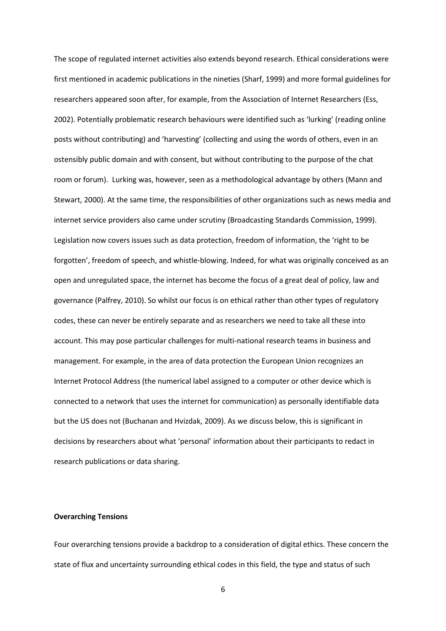The scope of regulated internet activities also extends beyond research. Ethical considerations were first mentioned in academic publications in the nineties (Sharf, 1999) and more formal guidelines for researchers appeared soon after, for example, from the Association of Internet Researchers (Ess, 2002). Potentially problematic research behaviours were identified such as 'lurking' (reading online posts without contributing) and 'harvesting' (collecting and using the words of others, even in an ostensibly public domain and with consent, but without contributing to the purpose of the chat room or forum). Lurking was, however, seen as a methodological advantage by others (Mann and Stewart, 2000). At the same time, the responsibilities of other organizations such as news media and internet service providers also came under scrutiny (Broadcasting Standards Commission, 1999). Legislation now covers issues such as data protection, freedom of information, the 'right to be forgotten', freedom of speech, and whistle-blowing. Indeed, for what was originally conceived as an open and unregulated space, the internet has become the focus of a great deal of policy, law and governance (Palfrey, 2010). So whilst our focus is on ethical rather than other types of regulatory codes, these can never be entirely separate and as researchers we need to take all these into account. This may pose particular challenges for multi-national research teams in business and management. For example, in the area of data protection the European Union recognizes an Internet Protocol Address (the numerical label assigned to a computer or other device which is connected to a network that uses the internet for communication) as personally identifiable data but the US does not (Buchanan and Hvizdak, 2009). As we discuss below, this is significant in decisions by researchers about what 'personal' information about their participants to redact in research publications or data sharing.

#### Overarching Tensions

Four overarching tensions provide a backdrop to a consideration of digital ethics. These concern the state of flux and uncertainty surrounding ethical codes in this field, the type and status of such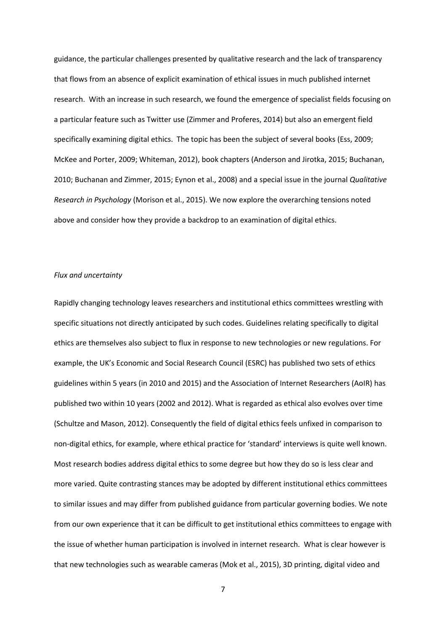guidance, the particular challenges presented by qualitative research and the lack of transparency that flows from an absence of explicit examination of ethical issues in much published internet research. With an increase in such research, we found the emergence of specialist fields focusing on a particular feature such as Twitter use (Zimmer and Proferes, 2014) but also an emergent field specifically examining digital ethics. The topic has been the subject of several books (Ess, 2009; McKee and Porter, 2009; Whiteman, 2012), book chapters (Anderson and Jirotka, 2015; Buchanan, 2010; Buchanan and Zimmer, 2015; Eynon et al., 2008) and a special issue in the journal Qualitative Research in Psychology (Morison et al., 2015). We now explore the overarching tensions noted above and consider how they provide a backdrop to an examination of digital ethics.

### Flux and uncertainty

Rapidly changing technology leaves researchers and institutional ethics committees wrestling with specific situations not directly anticipated by such codes. Guidelines relating specifically to digital ethics are themselves also subject to flux in response to new technologies or new regulations. For example, the UK's Economic and Social Research Council (ESRC) has published two sets of ethics guidelines within 5 years (in 2010 and 2015) and the Association of Internet Researchers (AoIR) has published two within 10 years (2002 and 2012). What is regarded as ethical also evolves over time (Schultze and Mason, 2012). Consequently the field of digital ethics feels unfixed in comparison to non-digital ethics, for example, where ethical practice for 'standard' interviews is quite well known. Most research bodies address digital ethics to some degree but how they do so is less clear and more varied. Quite contrasting stances may be adopted by different institutional ethics committees to similar issues and may differ from published guidance from particular governing bodies. We note from our own experience that it can be difficult to get institutional ethics committees to engage with the issue of whether human participation is involved in internet research. What is clear however is that new technologies such as wearable cameras (Mok et al., 2015), 3D printing, digital video and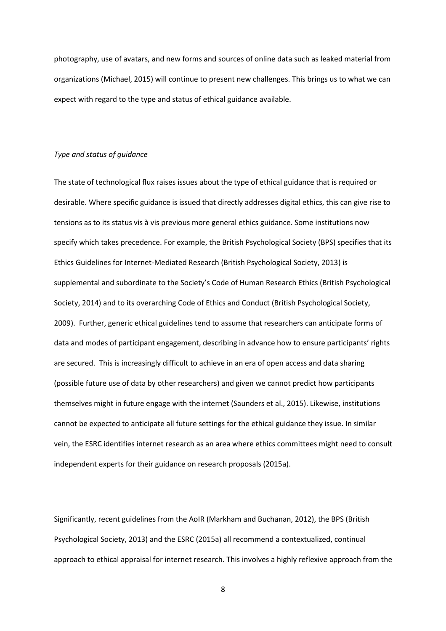photography, use of avatars, and new forms and sources of online data such as leaked material from organizations (Michael, 2015) will continue to present new challenges. This brings us to what we can expect with regard to the type and status of ethical guidance available.

### Type and status of guidance

The state of technological flux raises issues about the type of ethical guidance that is required or desirable. Where specific guidance is issued that directly addresses digital ethics, this can give rise to tensions as to its status vis à vis previous more general ethics guidance. Some institutions now specify which takes precedence. For example, the British Psychological Society (BPS) specifies that its Ethics Guidelines for Internet-Mediated Research (British Psychological Society, 2013) is supplemental and subordinate to the Society's Code of Human Research Ethics (British Psychological Society, 2014) and to its overarching Code of Ethics and Conduct (British Psychological Society, 2009). Further, generic ethical guidelines tend to assume that researchers can anticipate forms of data and modes of participant engagement, describing in advance how to ensure participants' rights are secured. This is increasingly difficult to achieve in an era of open access and data sharing (possible future use of data by other researchers) and given we cannot predict how participants themselves might in future engage with the internet (Saunders et al., 2015). Likewise, institutions cannot be expected to anticipate all future settings for the ethical guidance they issue. In similar vein, the ESRC identifies internet research as an area where ethics committees might need to consult independent experts for their guidance on research proposals (2015a).

Significantly, recent guidelines from the AoIR (Markham and Buchanan, 2012), the BPS (British Psychological Society, 2013) and the ESRC (2015a) all recommend a contextualized, continual approach to ethical appraisal for internet research. This involves a highly reflexive approach from the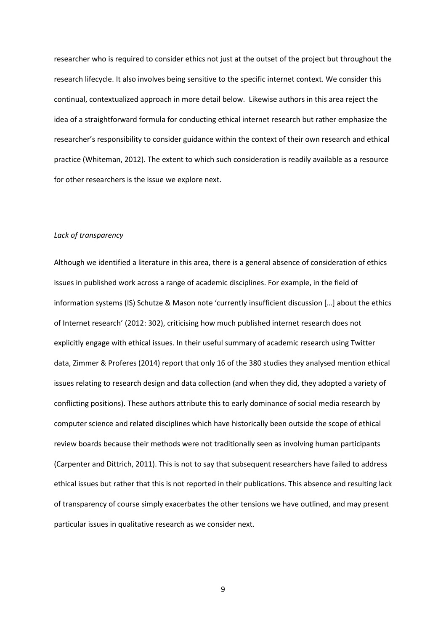researcher who is required to consider ethics not just at the outset of the project but throughout the research lifecycle. It also involves being sensitive to the specific internet context. We consider this continual, contextualized approach in more detail below. Likewise authors in this area reject the idea of a straightforward formula for conducting ethical internet research but rather emphasize the researcher's responsibility to consider guidance within the context of their own research and ethical practice (Whiteman, 2012). The extent to which such consideration is readily available as a resource for other researchers is the issue we explore next.

#### Lack of transparency

Although we identified a literature in this area, there is a general absence of consideration of ethics issues in published work across a range of academic disciplines. For example, in the field of information systems (IS) Schutze & Mason note 'currently insufficient discussion […] about the ethics of Internet research' (2012: 302), criticising how much published internet research does not explicitly engage with ethical issues. In their useful summary of academic research using Twitter data, Zimmer & Proferes (2014) report that only 16 of the 380 studies they analysed mention ethical issues relating to research design and data collection (and when they did, they adopted a variety of conflicting positions). These authors attribute this to early dominance of social media research by computer science and related disciplines which have historically been outside the scope of ethical review boards because their methods were not traditionally seen as involving human participants (Carpenter and Dittrich, 2011). This is not to say that subsequent researchers have failed to address ethical issues but rather that this is not reported in their publications. This absence and resulting lack of transparency of course simply exacerbates the other tensions we have outlined, and may present particular issues in qualitative research as we consider next.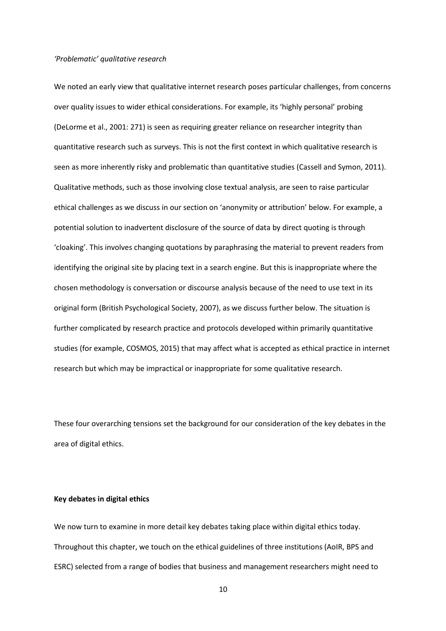#### 'Problematic' qualitative research

We noted an early view that qualitative internet research poses particular challenges, from concerns over quality issues to wider ethical considerations. For example, its 'highly personal' probing (DeLorme et al., 2001: 271) is seen as requiring greater reliance on researcher integrity than quantitative research such as surveys. This is not the first context in which qualitative research is seen as more inherently risky and problematic than quantitative studies (Cassell and Symon, 2011). Qualitative methods, such as those involving close textual analysis, are seen to raise particular ethical challenges as we discuss in our section on 'anonymity or attribution' below. For example, a potential solution to inadvertent disclosure of the source of data by direct quoting is through 'cloaking'. This involves changing quotations by paraphrasing the material to prevent readers from identifying the original site by placing text in a search engine. But this is inappropriate where the chosen methodology is conversation or discourse analysis because of the need to use text in its original form (British Psychological Society, 2007), as we discuss further below. The situation is further complicated by research practice and protocols developed within primarily quantitative studies (for example, COSMOS, 2015) that may affect what is accepted as ethical practice in internet research but which may be impractical or inappropriate for some qualitative research.

These four overarching tensions set the background for our consideration of the key debates in the area of digital ethics.

## Key debates in digital ethics

We now turn to examine in more detail key debates taking place within digital ethics today. Throughout this chapter, we touch on the ethical guidelines of three institutions (AoIR, BPS and ESRC) selected from a range of bodies that business and management researchers might need to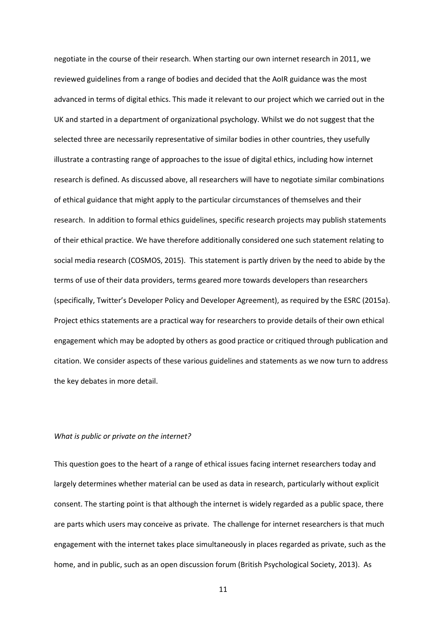negotiate in the course of their research. When starting our own internet research in 2011, we reviewed guidelines from a range of bodies and decided that the AoIR guidance was the most advanced in terms of digital ethics. This made it relevant to our project which we carried out in the UK and started in a department of organizational psychology. Whilst we do not suggest that the selected three are necessarily representative of similar bodies in other countries, they usefully illustrate a contrasting range of approaches to the issue of digital ethics, including how internet research is defined. As discussed above, all researchers will have to negotiate similar combinations of ethical guidance that might apply to the particular circumstances of themselves and their research. In addition to formal ethics guidelines, specific research projects may publish statements of their ethical practice. We have therefore additionally considered one such statement relating to social media research (COSMOS, 2015). This statement is partly driven by the need to abide by the terms of use of their data providers, terms geared more towards developers than researchers (specifically, Twitter's Developer Policy and Developer Agreement), as required by the ESRC (2015a). Project ethics statements are a practical way for researchers to provide details of their own ethical engagement which may be adopted by others as good practice or critiqued through publication and citation. We consider aspects of these various guidelines and statements as we now turn to address the key debates in more detail.

#### What is public or private on the internet?

This question goes to the heart of a range of ethical issues facing internet researchers today and largely determines whether material can be used as data in research, particularly without explicit consent. The starting point is that although the internet is widely regarded as a public space, there are parts which users may conceive as private. The challenge for internet researchers is that much engagement with the internet takes place simultaneously in places regarded as private, such as the home, and in public, such as an open discussion forum (British Psychological Society, 2013). As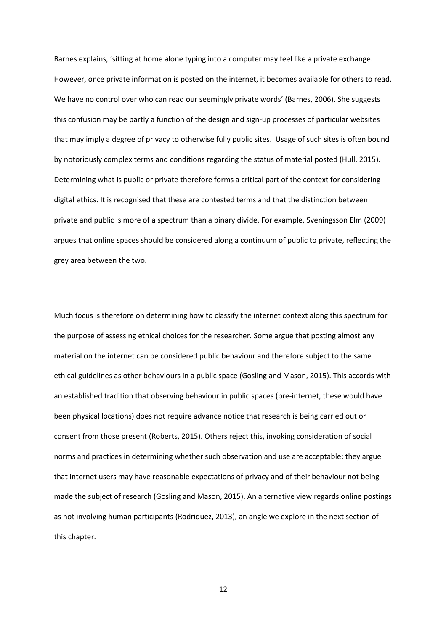Barnes explains, 'sitting at home alone typing into a computer may feel like a private exchange. However, once private information is posted on the internet, it becomes available for others to read. We have no control over who can read our seemingly private words' (Barnes, 2006). She suggests this confusion may be partly a function of the design and sign-up processes of particular websites that may imply a degree of privacy to otherwise fully public sites. Usage of such sites is often bound by notoriously complex terms and conditions regarding the status of material posted (Hull, 2015). Determining what is public or private therefore forms a critical part of the context for considering digital ethics. It is recognised that these are contested terms and that the distinction between private and public is more of a spectrum than a binary divide. For example, Sveningsson Elm (2009) argues that online spaces should be considered along a continuum of public to private, reflecting the grey area between the two.

Much focus is therefore on determining how to classify the internet context along this spectrum for the purpose of assessing ethical choices for the researcher. Some argue that posting almost any material on the internet can be considered public behaviour and therefore subject to the same ethical guidelines as other behaviours in a public space (Gosling and Mason, 2015). This accords with an established tradition that observing behaviour in public spaces (pre-internet, these would have been physical locations) does not require advance notice that research is being carried out or consent from those present (Roberts, 2015). Others reject this, invoking consideration of social norms and practices in determining whether such observation and use are acceptable; they argue that internet users may have reasonable expectations of privacy and of their behaviour not being made the subject of research (Gosling and Mason, 2015). An alternative view regards online postings as not involving human participants (Rodriquez, 2013), an angle we explore in the next section of this chapter.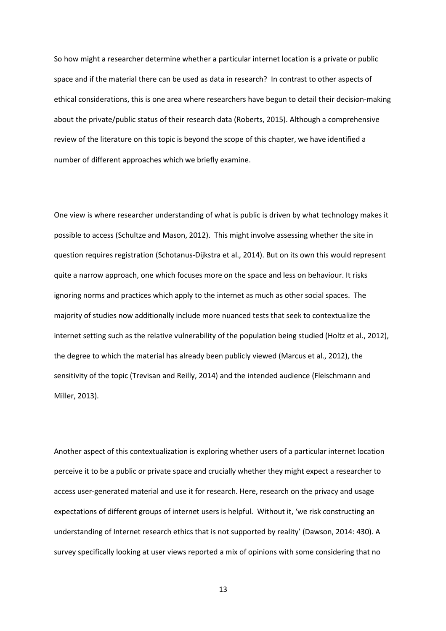So how might a researcher determine whether a particular internet location is a private or public space and if the material there can be used as data in research? In contrast to other aspects of ethical considerations, this is one area where researchers have begun to detail their decision-making about the private/public status of their research data (Roberts, 2015). Although a comprehensive review of the literature on this topic is beyond the scope of this chapter, we have identified a number of different approaches which we briefly examine.

One view is where researcher understanding of what is public is driven by what technology makes it possible to access (Schultze and Mason, 2012). This might involve assessing whether the site in question requires registration (Schotanus-Dijkstra et al., 2014). But on its own this would represent quite a narrow approach, one which focuses more on the space and less on behaviour. It risks ignoring norms and practices which apply to the internet as much as other social spaces. The majority of studies now additionally include more nuanced tests that seek to contextualize the internet setting such as the relative vulnerability of the population being studied (Holtz et al., 2012), the degree to which the material has already been publicly viewed (Marcus et al., 2012), the sensitivity of the topic (Trevisan and Reilly, 2014) and the intended audience (Fleischmann and Miller, 2013).

Another aspect of this contextualization is exploring whether users of a particular internet location perceive it to be a public or private space and crucially whether they might expect a researcher to access user-generated material and use it for research. Here, research on the privacy and usage expectations of different groups of internet users is helpful. Without it, 'we risk constructing an understanding of Internet research ethics that is not supported by reality' (Dawson, 2014: 430). A survey specifically looking at user views reported a mix of opinions with some considering that no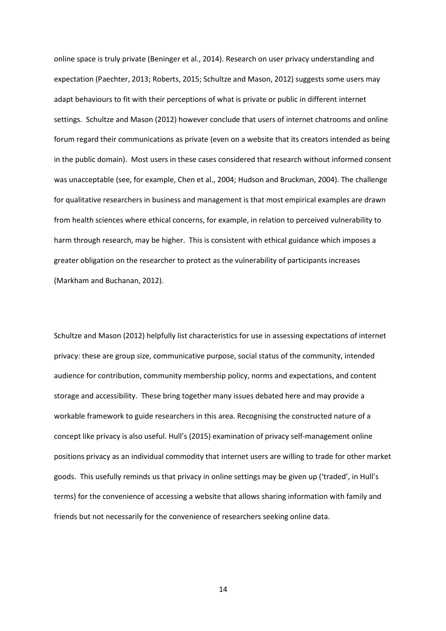online space is truly private (Beninger et al., 2014). Research on user privacy understanding and expectation (Paechter, 2013; Roberts, 2015; Schultze and Mason, 2012) suggests some users may adapt behaviours to fit with their perceptions of what is private or public in different internet settings. Schultze and Mason (2012) however conclude that users of internet chatrooms and online forum regard their communications as private (even on a website that its creators intended as being in the public domain). Most users in these cases considered that research without informed consent was unacceptable (see, for example, Chen et al., 2004; Hudson and Bruckman, 2004). The challenge for qualitative researchers in business and management is that most empirical examples are drawn from health sciences where ethical concerns, for example, in relation to perceived vulnerability to harm through research, may be higher. This is consistent with ethical guidance which imposes a greater obligation on the researcher to protect as the vulnerability of participants increases (Markham and Buchanan, 2012).

Schultze and Mason (2012) helpfully list characteristics for use in assessing expectations of internet privacy: these are group size, communicative purpose, social status of the community, intended audience for contribution, community membership policy, norms and expectations, and content storage and accessibility. These bring together many issues debated here and may provide a workable framework to guide researchers in this area. Recognising the constructed nature of a concept like privacy is also useful. Hull's (2015) examination of privacy self-management online positions privacy as an individual commodity that internet users are willing to trade for other market goods. This usefully reminds us that privacy in online settings may be given up ('traded', in Hull's terms) for the convenience of accessing a website that allows sharing information with family and friends but not necessarily for the convenience of researchers seeking online data.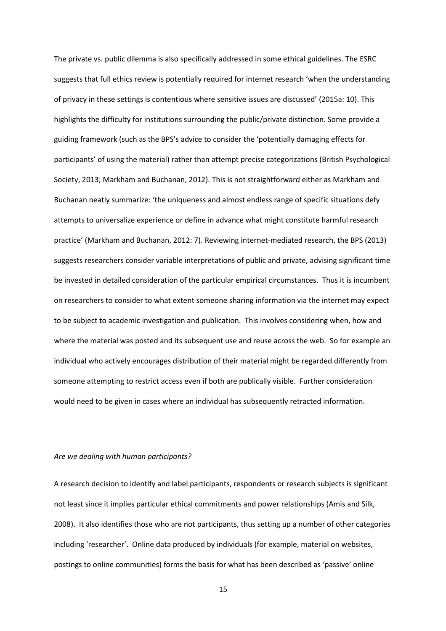The private vs. public dilemma is also specifically addressed in some ethical guidelines. The ESRC suggests that full ethics review is potentially required for internet research 'when the understanding of privacy in these settings is contentious where sensitive issues are discussed' (2015a: 10). This highlights the difficulty for institutions surrounding the public/private distinction. Some provide a guiding framework (such as the BPS's advice to consider the 'potentially damaging effects for participants' of using the material) rather than attempt precise categorizations (British Psychological Society, 2013; Markham and Buchanan, 2012). This is not straightforward either as Markham and Buchanan neatly summarize: 'the uniqueness and almost endless range of specific situations defy attempts to universalize experience or define in advance what might constitute harmful research practice' (Markham and Buchanan, 2012: 7). Reviewing internet-mediated research, the BPS (2013) suggests researchers consider variable interpretations of public and private, advising significant time be invested in detailed consideration of the particular empirical circumstances. Thus it is incumbent on researchers to consider to what extent someone sharing information via the internet may expect to be subject to academic investigation and publication. This involves considering when, how and where the material was posted and its subsequent use and reuse across the web. So for example an individual who actively encourages distribution of their material might be regarded differently from someone attempting to restrict access even if both are publically visible. Further consideration would need to be given in cases where an individual has subsequently retracted information.

#### Are we dealing with human participants?

A research decision to identify and label participants, respondents or research subjects is significant not least since it implies particular ethical commitments and power relationships (Amis and Silk, 2008). It also identifies those who are not participants, thus setting up a number of other categories including 'researcher'. Online data produced by individuals (for example, material on websites, postings to online communities) forms the basis for what has been described as 'passive' online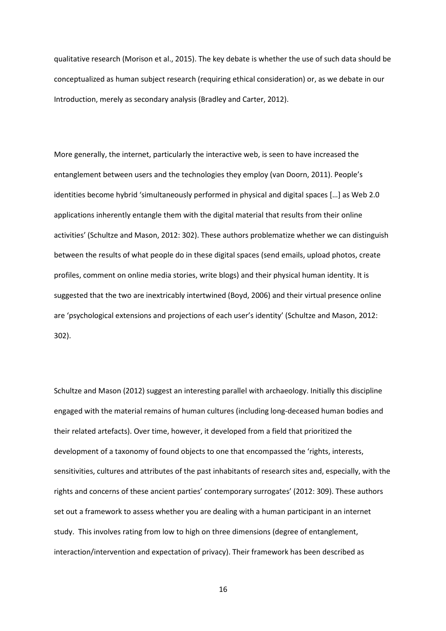qualitative research (Morison et al., 2015). The key debate is whether the use of such data should be conceptualized as human subject research (requiring ethical consideration) or, as we debate in our Introduction, merely as secondary analysis (Bradley and Carter, 2012).

More generally, the internet, particularly the interactive web, is seen to have increased the entanglement between users and the technologies they employ (van Doorn, 2011). People's identities become hybrid 'simultaneously performed in physical and digital spaces […] as Web 2.0 applications inherently entangle them with the digital material that results from their online activities' (Schultze and Mason, 2012: 302). These authors problematize whether we can distinguish between the results of what people do in these digital spaces (send emails, upload photos, create profiles, comment on online media stories, write blogs) and their physical human identity. It is suggested that the two are inextricably intertwined (Boyd, 2006) and their virtual presence online are 'psychological extensions and projections of each user's identity' (Schultze and Mason, 2012: 302).

Schultze and Mason (2012) suggest an interesting parallel with archaeology. Initially this discipline engaged with the material remains of human cultures (including long-deceased human bodies and their related artefacts). Over time, however, it developed from a field that prioritized the development of a taxonomy of found objects to one that encompassed the 'rights, interests, sensitivities, cultures and attributes of the past inhabitants of research sites and, especially, with the rights and concerns of these ancient parties' contemporary surrogates' (2012: 309). These authors set out a framework to assess whether you are dealing with a human participant in an internet study. This involves rating from low to high on three dimensions (degree of entanglement, interaction/intervention and expectation of privacy). Their framework has been described as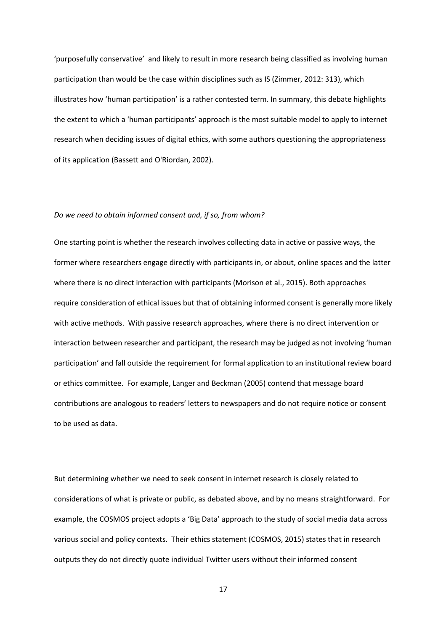'purposefully conservative' and likely to result in more research being classified as involving human participation than would be the case within disciplines such as IS (Zimmer, 2012: 313), which illustrates how 'human participation' is a rather contested term. In summary, this debate highlights the extent to which a 'human participants' approach is the most suitable model to apply to internet research when deciding issues of digital ethics, with some authors questioning the appropriateness of its application (Bassett and O'Riordan, 2002).

## Do we need to obtain informed consent and, if so, from whom?

One starting point is whether the research involves collecting data in active or passive ways, the former where researchers engage directly with participants in, or about, online spaces and the latter where there is no direct interaction with participants (Morison et al., 2015). Both approaches require consideration of ethical issues but that of obtaining informed consent is generally more likely with active methods. With passive research approaches, where there is no direct intervention or interaction between researcher and participant, the research may be judged as not involving 'human participation' and fall outside the requirement for formal application to an institutional review board or ethics committee. For example, Langer and Beckman (2005) contend that message board contributions are analogous to readers' letters to newspapers and do not require notice or consent to be used as data.

But determining whether we need to seek consent in internet research is closely related to considerations of what is private or public, as debated above, and by no means straightforward. For example, the COSMOS project adopts a 'Big Data' approach to the study of social media data across various social and policy contexts. Their ethics statement (COSMOS, 2015) states that in research outputs they do not directly quote individual Twitter users without their informed consent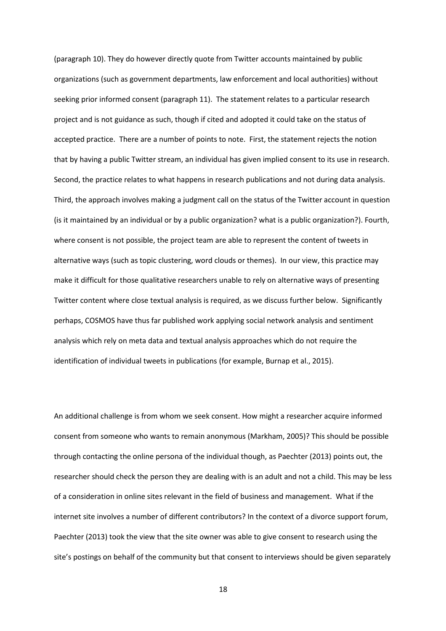(paragraph 10). They do however directly quote from Twitter accounts maintained by public organizations (such as government departments, law enforcement and local authorities) without seeking prior informed consent (paragraph 11). The statement relates to a particular research project and is not guidance as such, though if cited and adopted it could take on the status of accepted practice. There are a number of points to note. First, the statement rejects the notion that by having a public Twitter stream, an individual has given implied consent to its use in research. Second, the practice relates to what happens in research publications and not during data analysis. Third, the approach involves making a judgment call on the status of the Twitter account in question (is it maintained by an individual or by a public organization? what is a public organization?). Fourth, where consent is not possible, the project team are able to represent the content of tweets in alternative ways (such as topic clustering, word clouds or themes). In our view, this practice may make it difficult for those qualitative researchers unable to rely on alternative ways of presenting Twitter content where close textual analysis is required, as we discuss further below. Significantly perhaps, COSMOS have thus far published work applying social network analysis and sentiment analysis which rely on meta data and textual analysis approaches which do not require the identification of individual tweets in publications (for example, Burnap et al., 2015).

An additional challenge is from whom we seek consent. How might a researcher acquire informed consent from someone who wants to remain anonymous (Markham, 2005)? This should be possible through contacting the online persona of the individual though, as Paechter (2013) points out, the researcher should check the person they are dealing with is an adult and not a child. This may be less of a consideration in online sites relevant in the field of business and management. What if the internet site involves a number of different contributors? In the context of a divorce support forum, Paechter (2013) took the view that the site owner was able to give consent to research using the site's postings on behalf of the community but that consent to interviews should be given separately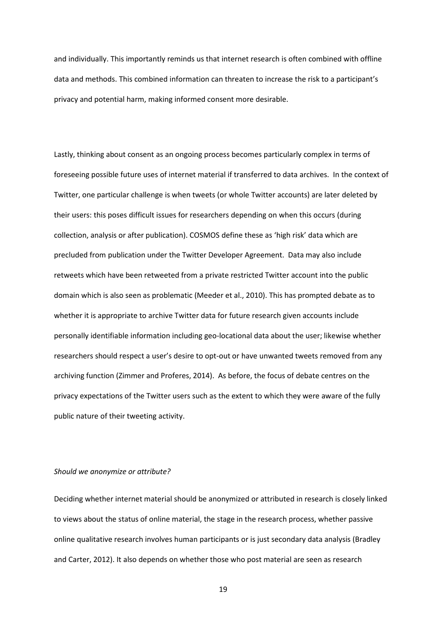and individually. This importantly reminds us that internet research is often combined with offline data and methods. This combined information can threaten to increase the risk to a participant's privacy and potential harm, making informed consent more desirable.

Lastly, thinking about consent as an ongoing process becomes particularly complex in terms of foreseeing possible future uses of internet material if transferred to data archives. In the context of Twitter, one particular challenge is when tweets (or whole Twitter accounts) are later deleted by their users: this poses difficult issues for researchers depending on when this occurs (during collection, analysis or after publication). COSMOS define these as 'high risk' data which are precluded from publication under the Twitter Developer Agreement. Data may also include retweets which have been retweeted from a private restricted Twitter account into the public domain which is also seen as problematic (Meeder et al., 2010). This has prompted debate as to whether it is appropriate to archive Twitter data for future research given accounts include personally identifiable information including geo-locational data about the user; likewise whether researchers should respect a user's desire to opt-out or have unwanted tweets removed from any archiving function (Zimmer and Proferes, 2014). As before, the focus of debate centres on the privacy expectations of the Twitter users such as the extent to which they were aware of the fully public nature of their tweeting activity.

#### Should we anonymize or attribute?

Deciding whether internet material should be anonymized or attributed in research is closely linked to views about the status of online material, the stage in the research process, whether passive online qualitative research involves human participants or is just secondary data analysis (Bradley and Carter, 2012). It also depends on whether those who post material are seen as research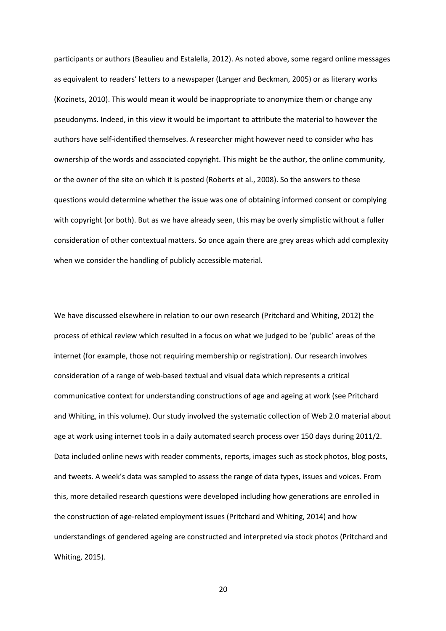participants or authors (Beaulieu and Estalella, 2012). As noted above, some regard online messages as equivalent to readers' letters to a newspaper (Langer and Beckman, 2005) or as literary works (Kozinets, 2010). This would mean it would be inappropriate to anonymize them or change any pseudonyms. Indeed, in this view it would be important to attribute the material to however the authors have self-identified themselves. A researcher might however need to consider who has ownership of the words and associated copyright. This might be the author, the online community, or the owner of the site on which it is posted (Roberts et al., 2008). So the answers to these questions would determine whether the issue was one of obtaining informed consent or complying with copyright (or both). But as we have already seen, this may be overly simplistic without a fuller consideration of other contextual matters. So once again there are grey areas which add complexity when we consider the handling of publicly accessible material.

We have discussed elsewhere in relation to our own research (Pritchard and Whiting, 2012) the process of ethical review which resulted in a focus on what we judged to be 'public' areas of the internet (for example, those not requiring membership or registration). Our research involves consideration of a range of web-based textual and visual data which represents a critical communicative context for understanding constructions of age and ageing at work (see Pritchard and Whiting, in this volume). Our study involved the systematic collection of Web 2.0 material about age at work using internet tools in a daily automated search process over 150 days during 2011/2. Data included online news with reader comments, reports, images such as stock photos, blog posts, and tweets. A week's data was sampled to assess the range of data types, issues and voices. From this, more detailed research questions were developed including how generations are enrolled in the construction of age-related employment issues (Pritchard and Whiting, 2014) and how understandings of gendered ageing are constructed and interpreted via stock photos (Pritchard and Whiting, 2015).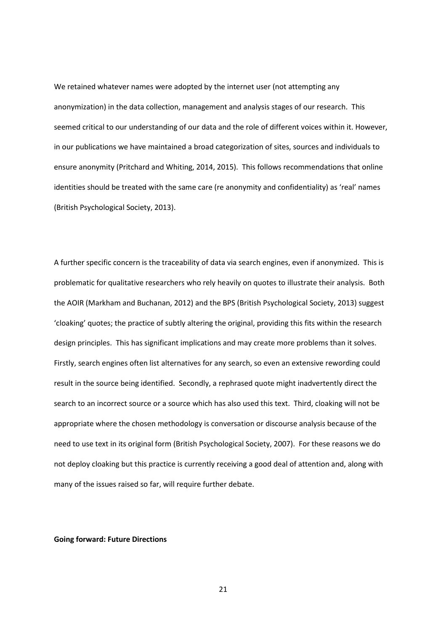We retained whatever names were adopted by the internet user (not attempting any anonymization) in the data collection, management and analysis stages of our research. This seemed critical to our understanding of our data and the role of different voices within it. However, in our publications we have maintained a broad categorization of sites, sources and individuals to ensure anonymity (Pritchard and Whiting, 2014, 2015). This follows recommendations that online identities should be treated with the same care (re anonymity and confidentiality) as 'real' names (British Psychological Society, 2013).

A further specific concern is the traceability of data via search engines, even if anonymized. This is problematic for qualitative researchers who rely heavily on quotes to illustrate their analysis. Both the AOIR (Markham and Buchanan, 2012) and the BPS (British Psychological Society, 2013) suggest 'cloaking' quotes; the practice of subtly altering the original, providing this fits within the research design principles. This has significant implications and may create more problems than it solves. Firstly, search engines often list alternatives for any search, so even an extensive rewording could result in the source being identified. Secondly, a rephrased quote might inadvertently direct the search to an incorrect source or a source which has also used this text. Third, cloaking will not be appropriate where the chosen methodology is conversation or discourse analysis because of the need to use text in its original form (British Psychological Society, 2007). For these reasons we do not deploy cloaking but this practice is currently receiving a good deal of attention and, along with many of the issues raised so far, will require further debate.

#### Going forward: Future Directions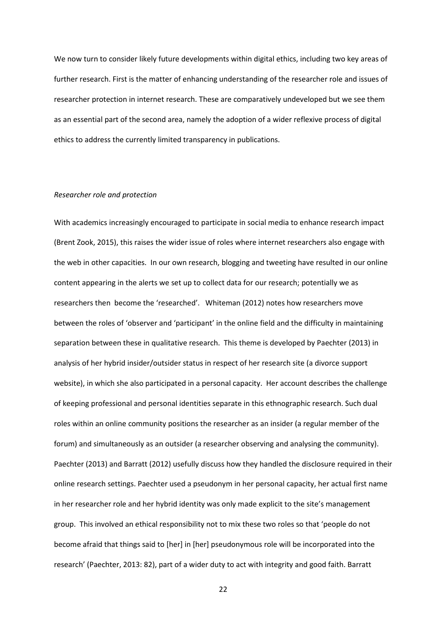We now turn to consider likely future developments within digital ethics, including two key areas of further research. First is the matter of enhancing understanding of the researcher role and issues of researcher protection in internet research. These are comparatively undeveloped but we see them as an essential part of the second area, namely the adoption of a wider reflexive process of digital ethics to address the currently limited transparency in publications.

### Researcher role and protection

With academics increasingly encouraged to participate in social media to enhance research impact (Brent Zook, 2015), this raises the wider issue of roles where internet researchers also engage with the web in other capacities. In our own research, blogging and tweeting have resulted in our online content appearing in the alerts we set up to collect data for our research; potentially we as researchers then become the 'researched'. Whiteman (2012) notes how researchers move between the roles of 'observer and 'participant' in the online field and the difficulty in maintaining separation between these in qualitative research. This theme is developed by Paechter (2013) in analysis of her hybrid insider/outsider status in respect of her research site (a divorce support website), in which she also participated in a personal capacity. Her account describes the challenge of keeping professional and personal identities separate in this ethnographic research. Such dual roles within an online community positions the researcher as an insider (a regular member of the forum) and simultaneously as an outsider (a researcher observing and analysing the community). Paechter (2013) and Barratt (2012) usefully discuss how they handled the disclosure required in their online research settings. Paechter used a pseudonym in her personal capacity, her actual first name in her researcher role and her hybrid identity was only made explicit to the site's management group. This involved an ethical responsibility not to mix these two roles so that 'people do not become afraid that things said to [her] in [her] pseudonymous role will be incorporated into the research' (Paechter, 2013: 82), part of a wider duty to act with integrity and good faith. Barratt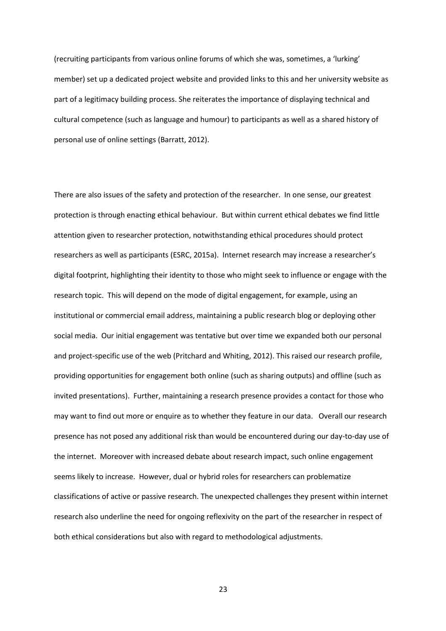(recruiting participants from various online forums of which she was, sometimes, a 'lurking' member) set up a dedicated project website and provided links to this and her university website as part of a legitimacy building process. She reiterates the importance of displaying technical and cultural competence (such as language and humour) to participants as well as a shared history of personal use of online settings (Barratt, 2012).

There are also issues of the safety and protection of the researcher. In one sense, our greatest protection is through enacting ethical behaviour. But within current ethical debates we find little attention given to researcher protection, notwithstanding ethical procedures should protect researchers as well as participants (ESRC, 2015a). Internet research may increase a researcher's digital footprint, highlighting their identity to those who might seek to influence or engage with the research topic. This will depend on the mode of digital engagement, for example, using an institutional or commercial email address, maintaining a public research blog or deploying other social media. Our initial engagement was tentative but over time we expanded both our personal and project-specific use of the web (Pritchard and Whiting, 2012). This raised our research profile, providing opportunities for engagement both online (such as sharing outputs) and offline (such as invited presentations). Further, maintaining a research presence provides a contact for those who may want to find out more or enquire as to whether they feature in our data. Overall our research presence has not posed any additional risk than would be encountered during our day-to-day use of the internet. Moreover with increased debate about research impact, such online engagement seems likely to increase. However, dual or hybrid roles for researchers can problematize classifications of active or passive research. The unexpected challenges they present within internet research also underline the need for ongoing reflexivity on the part of the researcher in respect of both ethical considerations but also with regard to methodological adjustments.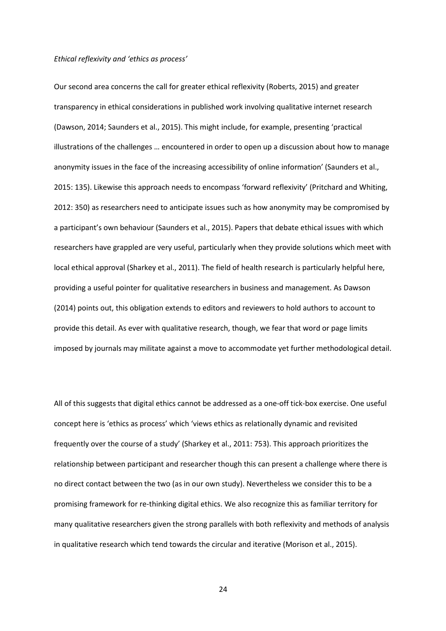#### Ethical reflexivity and 'ethics as process'

Our second area concerns the call for greater ethical reflexivity (Roberts, 2015) and greater transparency in ethical considerations in published work involving qualitative internet research (Dawson, 2014; Saunders et al., 2015). This might include, for example, presenting 'practical illustrations of the challenges … encountered in order to open up a discussion about how to manage anonymity issues in the face of the increasing accessibility of online information' (Saunders et al., 2015: 135). Likewise this approach needs to encompass 'forward reflexivity' (Pritchard and Whiting, 2012: 350) as researchers need to anticipate issues such as how anonymity may be compromised by a participant's own behaviour (Saunders et al., 2015). Papers that debate ethical issues with which researchers have grappled are very useful, particularly when they provide solutions which meet with local ethical approval (Sharkey et al., 2011). The field of health research is particularly helpful here, providing a useful pointer for qualitative researchers in business and management. As Dawson (2014) points out, this obligation extends to editors and reviewers to hold authors to account to provide this detail. As ever with qualitative research, though, we fear that word or page limits imposed by journals may militate against a move to accommodate yet further methodological detail.

All of this suggests that digital ethics cannot be addressed as a one-off tick-box exercise. One useful concept here is 'ethics as process' which 'views ethics as relationally dynamic and revisited frequently over the course of a study' (Sharkey et al., 2011: 753). This approach prioritizes the relationship between participant and researcher though this can present a challenge where there is no direct contact between the two (as in our own study). Nevertheless we consider this to be a promising framework for re-thinking digital ethics. We also recognize this as familiar territory for many qualitative researchers given the strong parallels with both reflexivity and methods of analysis in qualitative research which tend towards the circular and iterative (Morison et al., 2015).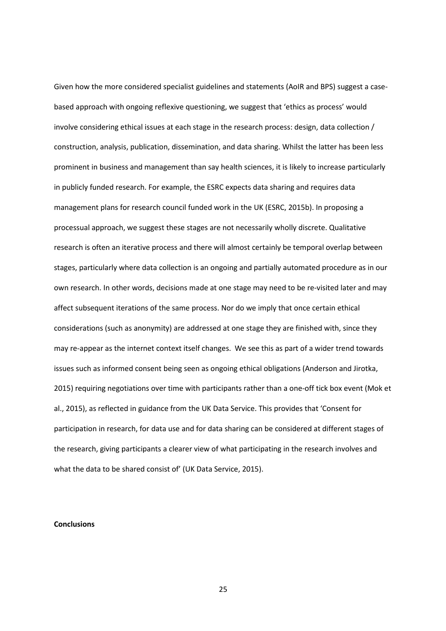Given how the more considered specialist guidelines and statements (AoIR and BPS) suggest a casebased approach with ongoing reflexive questioning, we suggest that 'ethics as process' would involve considering ethical issues at each stage in the research process: design, data collection / construction, analysis, publication, dissemination, and data sharing. Whilst the latter has been less prominent in business and management than say health sciences, it is likely to increase particularly in publicly funded research. For example, the ESRC expects data sharing and requires data management plans for research council funded work in the UK (ESRC, 2015b). In proposing a processual approach, we suggest these stages are not necessarily wholly discrete. Qualitative research is often an iterative process and there will almost certainly be temporal overlap between stages, particularly where data collection is an ongoing and partially automated procedure as in our own research. In other words, decisions made at one stage may need to be re-visited later and may affect subsequent iterations of the same process. Nor do we imply that once certain ethical considerations (such as anonymity) are addressed at one stage they are finished with, since they may re-appear as the internet context itself changes. We see this as part of a wider trend towards issues such as informed consent being seen as ongoing ethical obligations (Anderson and Jirotka, 2015) requiring negotiations over time with participants rather than a one-off tick box event (Mok et al., 2015), as reflected in guidance from the UK Data Service. This provides that 'Consent for participation in research, for data use and for data sharing can be considered at different stages of the research, giving participants a clearer view of what participating in the research involves and what the data to be shared consist of' (UK Data Service, 2015).

# **Conclusions**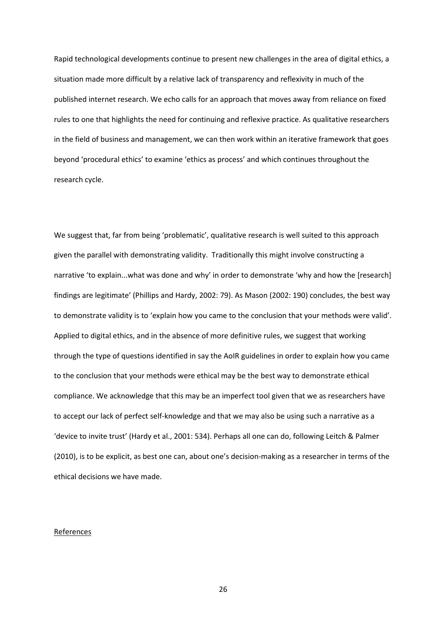Rapid technological developments continue to present new challenges in the area of digital ethics, a situation made more difficult by a relative lack of transparency and reflexivity in much of the published internet research. We echo calls for an approach that moves away from reliance on fixed rules to one that highlights the need for continuing and reflexive practice. As qualitative researchers in the field of business and management, we can then work within an iterative framework that goes beyond 'procedural ethics' to examine 'ethics as process' and which continues throughout the research cycle.

We suggest that, far from being 'problematic', qualitative research is well suited to this approach given the parallel with demonstrating validity. Traditionally this might involve constructing a narrative 'to explain...what was done and why' in order to demonstrate 'why and how the [research] findings are legitimate' (Phillips and Hardy, 2002: 79). As Mason (2002: 190) concludes, the best way to demonstrate validity is to 'explain how you came to the conclusion that your methods were valid'. Applied to digital ethics, and in the absence of more definitive rules, we suggest that working through the type of questions identified in say the AoIR guidelines in order to explain how you came to the conclusion that your methods were ethical may be the best way to demonstrate ethical compliance. We acknowledge that this may be an imperfect tool given that we as researchers have to accept our lack of perfect self-knowledge and that we may also be using such a narrative as a 'device to invite trust' (Hardy et al., 2001: 534). Perhaps all one can do, following Leitch & Palmer (2010), is to be explicit, as best one can, about one's decision-making as a researcher in terms of the ethical decisions we have made.

#### References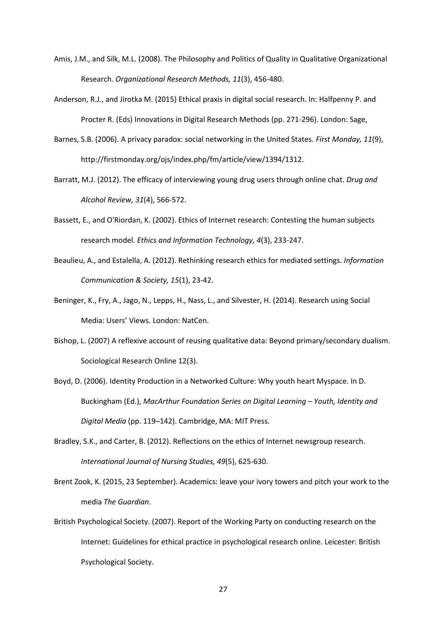- Amis, J.M., and Silk, M.L. (2008). The Philosophy and Politics of Quality in Qualitative Organizational Research. Organizational Research Methods, 11(3), 456-480.
- Anderson, R.J., and Jirotka M. (2015) Ethical praxis in digital social research. In: Halfpenny P. and Procter R. (Eds) Innovations in Digital Research Methods (pp. 271-296). London: Sage,
- Barnes, S.B. (2006). A privacy paradox: social networking in the United States. First Monday, 11(9), http://firstmonday.org/ojs/index.php/fm/article/view/1394/1312.
- Barratt, M.J. (2012). The efficacy of interviewing young drug users through online chat. Drug and Alcohol Review, 31(4), 566-572.
- Bassett, E., and O'Riordan, K. (2002). Ethics of Internet research: Contesting the human subjects research model. Ethics and Information Technology, 4(3), 233-247.
- Beaulieu, A., and Estalella, A. (2012). Rethinking research ethics for mediated settings. Information Communication & Society, 15(1), 23-42.
- Beninger, K., Fry, A., Jago, N., Lepps, H., Nass, L., and Silvester, H. (2014). Research using Social Media: Users' Views. London: NatCen.
- Bishop, L. (2007) A reflexive account of reusing qualitative data: Beyond primary/secondary dualism. Sociological Research Online 12(3).
- Boyd, D. (2006). Identity Production in a Networked Culture: Why youth heart Myspace. In D. Buckingham (Ed.), MacArthur Foundation Series on Digital Learning – Youth, Identity and Digital Media (pp. 119–142). Cambridge, MA: MIT Press.
- Bradley, S.K., and Carter, B. (2012). Reflections on the ethics of Internet newsgroup research. International Journal of Nursing Studies, 49(5), 625-630.
- Brent Zook, K. (2015, 23 September). Academics: leave your ivory towers and pitch your work to the media The Guardian.
- British Psychological Society. (2007). Report of the Working Party on conducting research on the Internet: Guidelines for ethical practice in psychological research online. Leicester: British Psychological Society.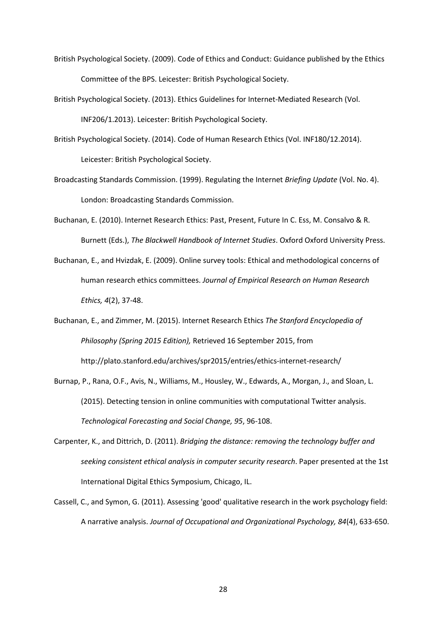- British Psychological Society. (2009). Code of Ethics and Conduct: Guidance published by the Ethics Committee of the BPS. Leicester: British Psychological Society.
- British Psychological Society. (2013). Ethics Guidelines for Internet-Mediated Research (Vol. INF206/1.2013). Leicester: British Psychological Society.
- British Psychological Society. (2014). Code of Human Research Ethics (Vol. INF180/12.2014). Leicester: British Psychological Society.
- Broadcasting Standards Commission. (1999). Regulating the Internet Briefing Update (Vol. No. 4). London: Broadcasting Standards Commission.
- Buchanan, E. (2010). Internet Research Ethics: Past, Present, Future In C. Ess, M. Consalvo & R. Burnett (Eds.), The Blackwell Handbook of Internet Studies. Oxford Oxford University Press.
- Buchanan, E., and Hvizdak, E. (2009). Online survey tools: Ethical and methodological concerns of human research ethics committees. Journal of Empirical Research on Human Research Ethics, 4(2), 37-48.
- Buchanan, E., and Zimmer, M. (2015). Internet Research Ethics The Stanford Encyclopedia of Philosophy (Spring 2015 Edition), Retrieved 16 September 2015, from http://plato.stanford.edu/archives/spr2015/entries/ethics-internet-research/
- Burnap, P., Rana, O.F., Avis, N., Williams, M., Housley, W., Edwards, A., Morgan, J., and Sloan, L. (2015). Detecting tension in online communities with computational Twitter analysis. Technological Forecasting and Social Change, 95, 96-108.
- Carpenter, K., and Dittrich, D. (2011). Bridging the distance: removing the technology buffer and seeking consistent ethical analysis in computer security research. Paper presented at the 1st International Digital Ethics Symposium, Chicago, IL.
- Cassell, C., and Symon, G. (2011). Assessing 'good' qualitative research in the work psychology field: A narrative analysis. Journal of Occupational and Organizational Psychology, 84(4), 633-650.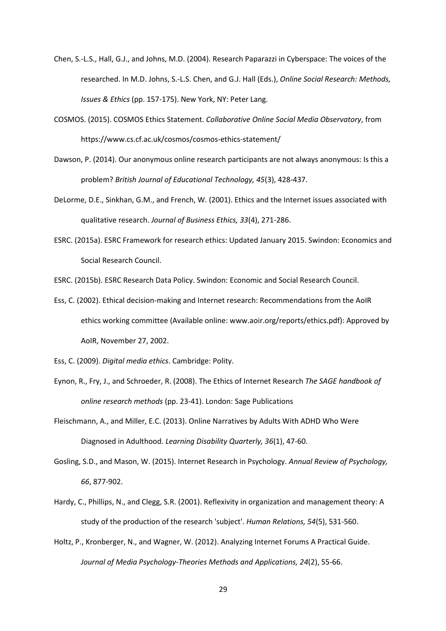- Chen, S.-L.S., Hall, G.J., and Johns, M.D. (2004). Research Paparazzi in Cyberspace: The voices of the researched. In M.D. Johns, S.-L.S. Chen, and G.J. Hall (Eds.), Online Social Research: Methods, Issues & Ethics (pp. 157-175). New York, NY: Peter Lang.
- COSMOS. (2015). COSMOS Ethics Statement. Collaborative Online Social Media Observatory, from https://www.cs.cf.ac.uk/cosmos/cosmos-ethics-statement/
- Dawson, P. (2014). Our anonymous online research participants are not always anonymous: Is this a problem? British Journal of Educational Technology, 45(3), 428-437.
- DeLorme, D.E., Sinkhan, G.M., and French, W. (2001). Ethics and the Internet issues associated with qualitative research. Journal of Business Ethics, 33(4), 271-286.
- ESRC. (2015a). ESRC Framework for research ethics: Updated January 2015. Swindon: Economics and Social Research Council.

ESRC. (2015b). ESRC Research Data Policy. Swindon: Economic and Social Research Council.

Ess, C. (2002). Ethical decision-making and Internet research: Recommendations from the AoIR ethics working committee (Available online: www.aoir.org/reports/ethics.pdf): Approved by AoIR, November 27, 2002.

Ess, C. (2009). Digital media ethics. Cambridge: Polity.

- Eynon, R., Fry, J., and Schroeder, R. (2008). The Ethics of Internet Research The SAGE handbook of online research methods (pp. 23-41). London: Sage Publications
- Fleischmann, A., and Miller, E.C. (2013). Online Narratives by Adults With ADHD Who Were Diagnosed in Adulthood. Learning Disability Quarterly, 36(1), 47-60.
- Gosling, S.D., and Mason, W. (2015). Internet Research in Psychology. Annual Review of Psychology, 66, 877-902.
- Hardy, C., Phillips, N., and Clegg, S.R. (2001). Reflexivity in organization and management theory: A study of the production of the research 'subject'. Human Relations, 54(5), 531-560.
- Holtz, P., Kronberger, N., and Wagner, W. (2012). Analyzing Internet Forums A Practical Guide. Journal of Media Psychology-Theories Methods and Applications, 24(2), 55-66.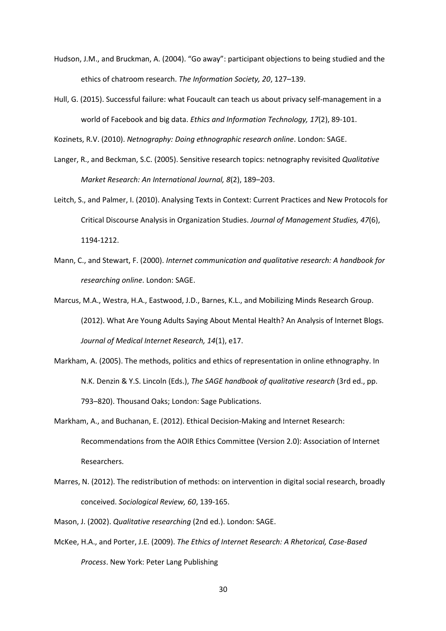- Hudson, J.M., and Bruckman, A. (2004). "Go away": participant objections to being studied and the ethics of chatroom research. The Information Society, 20, 127–139.
- Hull, G. (2015). Successful failure: what Foucault can teach us about privacy self-management in a world of Facebook and big data. Ethics and Information Technology, 17(2), 89-101.

Kozinets, R.V. (2010). Netnography: Doing ethnographic research online. London: SAGE.

- Langer, R., and Beckman, S.C. (2005). Sensitive research topics: netnography revisited Qualitative Market Research: An International Journal, 8(2), 189–203.
- Leitch, S., and Palmer, I. (2010). Analysing Texts in Context: Current Practices and New Protocols for Critical Discourse Analysis in Organization Studies. Journal of Management Studies, 47(6), 1194-1212.
- Mann, C., and Stewart, F. (2000). Internet communication and qualitative research: A handbook for researching online. London: SAGE.
- Marcus, M.A., Westra, H.A., Eastwood, J.D., Barnes, K.L., and Mobilizing Minds Research Group. (2012). What Are Young Adults Saying About Mental Health? An Analysis of Internet Blogs. Journal of Medical Internet Research, 14(1), e17.
- Markham, A. (2005). The methods, politics and ethics of representation in online ethnography. In N.K. Denzin & Y.S. Lincoln (Eds.), The SAGE handbook of qualitative research (3rd ed., pp. 793–820). Thousand Oaks; London: Sage Publications.
- Markham, A., and Buchanan, E. (2012). Ethical Decision-Making and Internet Research: Recommendations from the AOIR Ethics Committee (Version 2.0): Association of Internet Researchers.
- Marres, N. (2012). The redistribution of methods: on intervention in digital social research, broadly conceived. Sociological Review, 60, 139-165.

Mason, J. (2002). Qualitative researching (2nd ed.). London: SAGE.

McKee, H.A., and Porter, J.E. (2009). The Ethics of Internet Research: A Rhetorical, Case-Based Process. New York: Peter Lang Publishing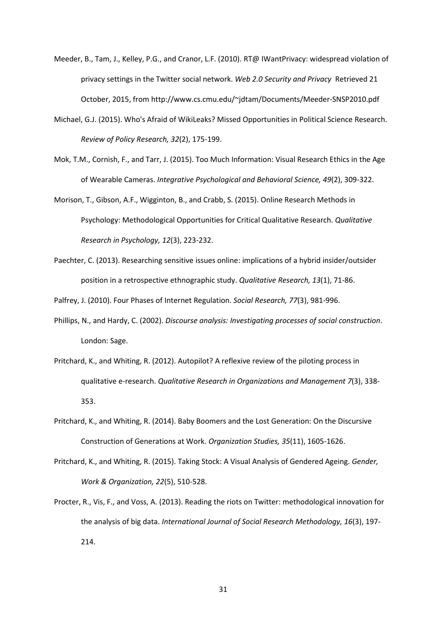- Meeder, B., Tam, J., Kelley, P.G., and Cranor, L.F. (2010). RT@ IWantPrivacy: widespread violation of privacy settings in the Twitter social network. Web 2.0 Security and Privacy Retrieved 21 October, 2015, from http://www.cs.cmu.edu/~jdtam/Documents/Meeder-SNSP2010.pdf
- Michael, G.J. (2015). Who's Afraid of WikiLeaks? Missed Opportunities in Political Science Research. Review of Policy Research, 32(2), 175-199.
- Mok, T.M., Cornish, F., and Tarr, J. (2015). Too Much Information: Visual Research Ethics in the Age of Wearable Cameras. Integrative Psychological and Behavioral Science, 49(2), 309-322.
- Morison, T., Gibson, A.F., Wigginton, B., and Crabb, S. (2015). Online Research Methods in Psychology: Methodological Opportunities for Critical Qualitative Research. Qualitative Research in Psychology, 12(3), 223-232.
- Paechter, C. (2013). Researching sensitive issues online: implications of a hybrid insider/outsider position in a retrospective ethnographic study. Qualitative Research, 13(1), 71-86.

Palfrey, J. (2010). Four Phases of Internet Regulation. Social Research, 77(3), 981-996.

- Phillips, N., and Hardy, C. (2002). Discourse analysis: Investigating processes of social construction. London: Sage.
- Pritchard, K., and Whiting, R. (2012). Autopilot? A reflexive review of the piloting process in qualitative e-research. Qualitative Research in Organizations and Management 7(3), 338- 353.
- Pritchard, K., and Whiting, R. (2014). Baby Boomers and the Lost Generation: On the Discursive Construction of Generations at Work. Organization Studies, 35(11), 1605-1626.
- Pritchard, K., and Whiting, R. (2015). Taking Stock: A Visual Analysis of Gendered Ageing. Gender, Work & Organization, 22(5), 510-528.
- Procter, R., Vis, F., and Voss, A. (2013). Reading the riots on Twitter: methodological innovation for the analysis of big data. International Journal of Social Research Methodology, 16(3), 197- 214.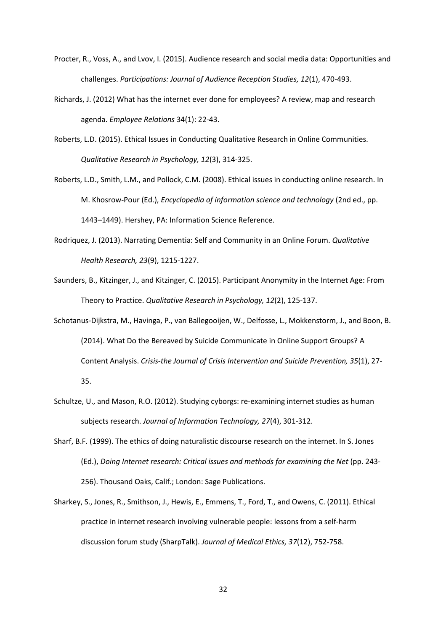- Procter, R., Voss, A., and Lvov, I. (2015). Audience research and social media data: Opportunities and challenges. Participations: Journal of Audience Reception Studies, 12(1), 470-493.
- Richards, J. (2012) What has the internet ever done for employees? A review, map and research agenda. Employee Relations 34(1): 22-43.
- Roberts, L.D. (2015). Ethical Issues in Conducting Qualitative Research in Online Communities. Qualitative Research in Psychology, 12(3), 314-325.
- Roberts, L.D., Smith, L.M., and Pollock, C.M. (2008). Ethical issues in conducting online research. In M. Khosrow-Pour (Ed.), Encyclopedia of information science and technology (2nd ed., pp. 1443–1449). Hershey, PA: Information Science Reference.
- Rodriquez, J. (2013). Narrating Dementia: Self and Community in an Online Forum. Qualitative Health Research, 23(9), 1215-1227.
- Saunders, B., Kitzinger, J., and Kitzinger, C. (2015). Participant Anonymity in the Internet Age: From Theory to Practice. Qualitative Research in Psychology, 12(2), 125-137.
- Schotanus-Dijkstra, M., Havinga, P., van Ballegooijen, W., Delfosse, L., Mokkenstorm, J., and Boon, B. (2014). What Do the Bereaved by Suicide Communicate in Online Support Groups? A Content Analysis. Crisis-the Journal of Crisis Intervention and Suicide Prevention, 35(1), 27- 35.
- Schultze, U., and Mason, R.O. (2012). Studying cyborgs: re-examining internet studies as human subjects research. Journal of Information Technology, 27(4), 301-312.
- Sharf, B.F. (1999). The ethics of doing naturalistic discourse research on the internet. In S. Jones (Ed.), Doing Internet research: Critical issues and methods for examining the Net (pp. 243- 256). Thousand Oaks, Calif.; London: Sage Publications.
- Sharkey, S., Jones, R., Smithson, J., Hewis, E., Emmens, T., Ford, T., and Owens, C. (2011). Ethical practice in internet research involving vulnerable people: lessons from a self-harm discussion forum study (SharpTalk). Journal of Medical Ethics, 37(12), 752-758.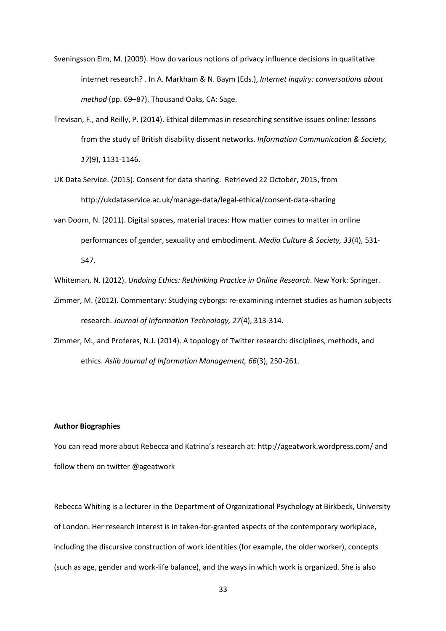- Sveningsson Elm, M. (2009). How do various notions of privacy influence decisions in qualitative internet research? . In A. Markham & N. Baym (Eds.), Internet inquiry: conversations about method (pp. 69–87). Thousand Oaks, CA: Sage.
- Trevisan, F., and Reilly, P. (2014). Ethical dilemmas in researching sensitive issues online: lessons from the study of British disability dissent networks. Information Communication & Society, 17(9), 1131-1146.
- UK Data Service. (2015). Consent for data sharing. Retrieved 22 October, 2015, from http://ukdataservice.ac.uk/manage-data/legal-ethical/consent-data-sharing
- van Doorn, N. (2011). Digital spaces, material traces: How matter comes to matter in online performances of gender, sexuality and embodiment. Media Culture & Society, 33(4), 531- 547.

Whiteman, N. (2012). Undoing Ethics: Rethinking Practice in Online Research. New York: Springer.

- Zimmer, M. (2012). Commentary: Studying cyborgs: re-examining internet studies as human subjects research. Journal of Information Technology, 27(4), 313-314.
- Zimmer, M., and Proferes, N.J. (2014). A topology of Twitter research: disciplines, methods, and ethics. Aslib Journal of Information Management, 66(3), 250-261.

## Author Biographies

You can read more about Rebecca and Katrina's research at: http://ageatwork.wordpress.com/ and follow them on twitter @ageatwork

Rebecca Whiting is a lecturer in the Department of Organizational Psychology at Birkbeck, University of London. Her research interest is in taken-for-granted aspects of the contemporary workplace, including the discursive construction of work identities (for example, the older worker), concepts (such as age, gender and work-life balance), and the ways in which work is organized. She is also